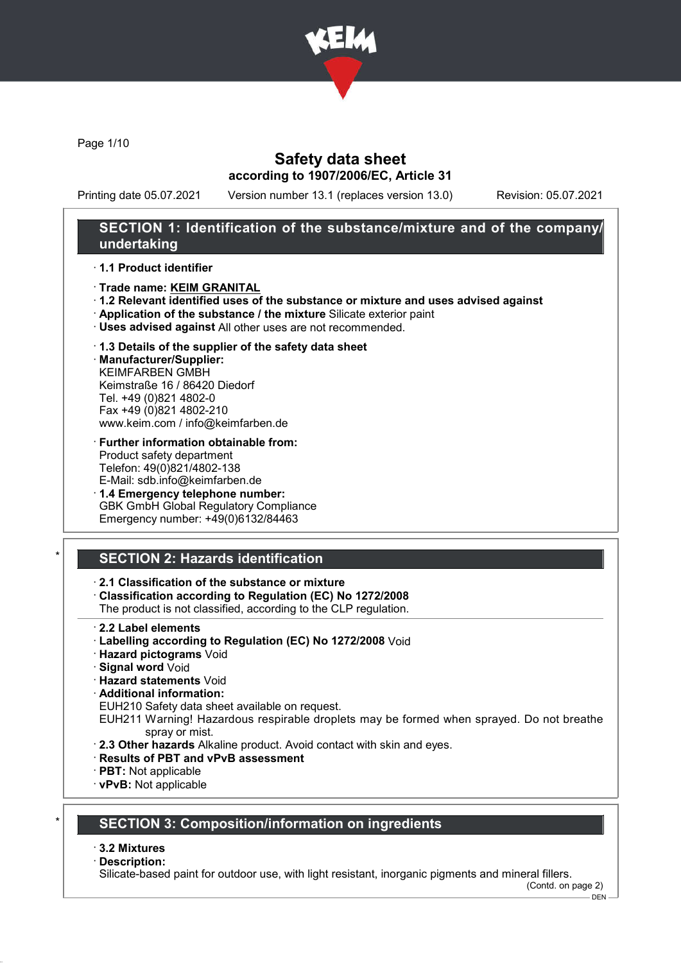

Page 1/10

## Safety data sheet according to 1907/2006/EC, Article 31

Printing date 05.07.2021 Version number 13.1 (replaces version 13.0) Revision: 05.07.2021

## SECTION 1: Identification of the substance/mixture and of the company/ undertaking

### · 1.1 Product identifier

- · Trade name: KEIM GRANITAL
- · 1.2 Relevant identified uses of the substance or mixture and uses advised against
- · Application of the substance / the mixture Silicate exterior paint
- · Uses advised against All other uses are not recommended.

### · 1.3 Details of the supplier of the safety data sheet

· Manufacturer/Supplier: KEIMFARBEN GMBH Keimstraße 16 / 86420 Diedorf Tel. +49 (0)821 4802-0 Fax +49 (0)821 4802-210 www.keim.com / info@keimfarben.de

- · Further information obtainable from: Product safety department Telefon: 49(0)821/4802-138 E-Mail: sdb.info@keimfarben.de
- · 1.4 Emergency telephone number: GBK GmbH Global Regulatory Compliance Emergency number: +49(0)6132/84463

## **SECTION 2: Hazards identification**

### · 2.1 Classification of the substance or mixture

· Classification according to Regulation (EC) No 1272/2008

The product is not classified, according to the CLP regulation.

- 2.2 Label elements
- · Labelling according to Regulation (EC) No 1272/2008 Void
- · Hazard pictograms Void
- · Signal word Void
- · Hazard statements Void
- · Additional information:

EUH210 Safety data sheet available on request.

- EUH211 Warning! Hazardous respirable droplets may be formed when sprayed. Do not breathe spray or mist.
- · 2.3 Other hazards Alkaline product. Avoid contact with skin and eyes.
- · Results of PBT and vPvB assessment
- · PBT: Not applicable
- · vPvB: Not applicable

## **SECTION 3: Composition/information on ingredients**

### · 3.2 Mixtures

### · Description:

Silicate-based paint for outdoor use, with light resistant, inorganic pigments and mineral fillers.

(Contd. on page 2) DEN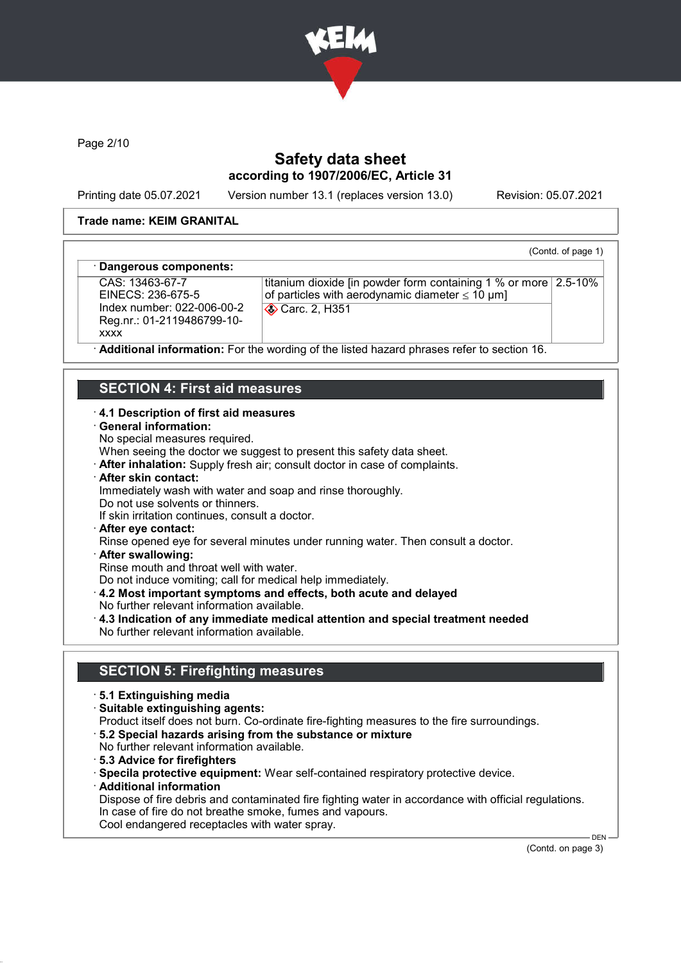

Page 2/10

## Safety data sheet according to 1907/2006/EC, Article 31

Printing date 05.07.2021 Version number 13.1 (replaces version 13.0) Revision: 05.07.2021

(Contd. of page 1)

### Trade name: KEIM GRANITAL

### Dangerous components:

CAS: 13463-67-7 EINECS: 236-675-5 Index number: 022-006-00-2 Reg.nr.: 01-2119486799-10 xxxx

titanium dioxide [in powder form containing 1 % or more 2.5-10% of particles with aerodynamic diameter  $\leq 10 \text{ }\mu\text{m}$ ] Carc. 2, H351

Additional information: For the wording of the listed hazard phrases refer to section 16.

### SECTION 4: First aid measures

### · 4.1 Description of first aid measures

- · General information:
- No special measures required.

When seeing the doctor we suggest to present this safety data sheet.

- · After inhalation: Supply fresh air; consult doctor in case of complaints.
- · After skin contact:

Immediately wash with water and soap and rinse thoroughly.

Do not use solvents or thinners.

If skin irritation continues, consult a doctor.

· After eye contact:

Rinse opened eye for several minutes under running water. Then consult a doctor.

· After swallowing:

Rinse mouth and throat well with water.

Do not induce vomiting; call for medical help immediately.

- · 4.2 Most important symptoms and effects, both acute and delayed
- No further relevant information available.
- · 4.3 Indication of any immediate medical attention and special treatment needed No further relevant information available.

### SECTION 5: Firefighting measures

- · 5.1 Extinguishing media
- · Suitable extinguishing agents:
- Product itself does not burn. Co-ordinate fire-fighting measures to the fire surroundings.
- · 5.2 Special hazards arising from the substance or mixture
- No further relevant information available.
- · 5.3 Advice for firefighters
- · Specila protective equipment: Wear self-contained respiratory protective device.
- · Additional information

Dispose of fire debris and contaminated fire fighting water in accordance with official regulations. In case of fire do not breathe smoke, fumes and vapours. Cool endangered receptacles with water spray.

(Contd. on page 3)

DEN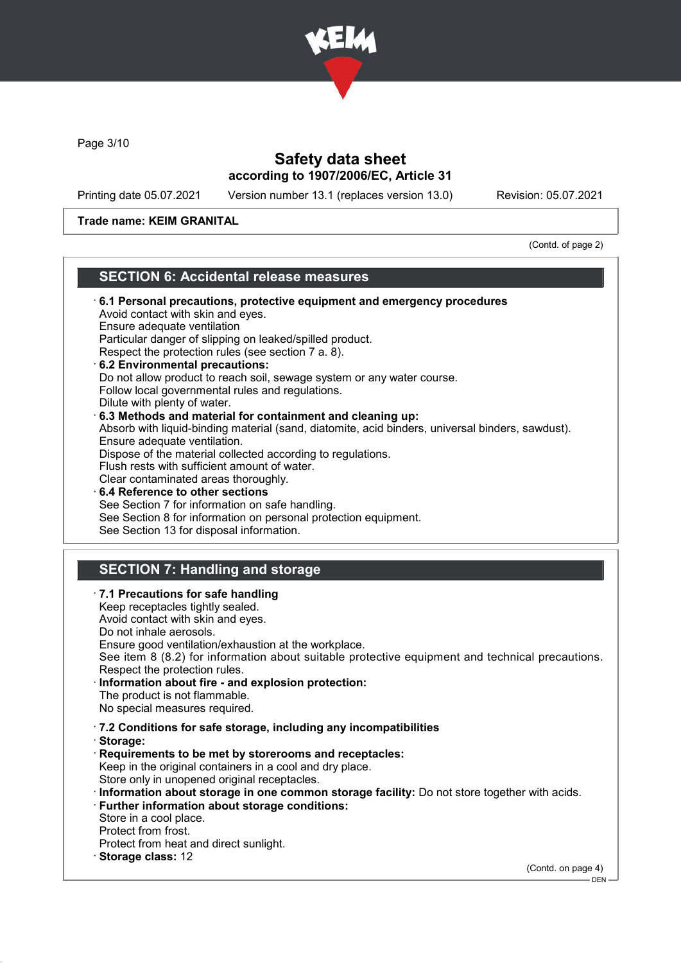

Page 3/10

I

## Safety data sheet according to 1907/2006/EC, Article 31

Printing date 05.07.2021 Version number 13.1 (replaces version 13.0) Revision: 05.07.2021

### Trade name: KEIM GRANITAL

(Contd. of page 2)

## SECTION 6: Accidental release measures

| 6.1 Personal precautions, protective equipment and emergency procedures<br>Avoid contact with skin and eyes.<br>Ensure adequate ventilation<br>Particular danger of slipping on leaked/spilled product.<br>Respect the protection rules (see section 7 a. 8).<br>6.2 Environmental precautions:<br>Do not allow product to reach soil, sewage system or any water course.<br>Follow local governmental rules and regulations.<br>Dilute with plenty of water.<br>6.3 Methods and material for containment and cleaning up:<br>Absorb with liquid-binding material (sand, diatomite, acid binders, universal binders, sawdust).<br>Ensure adequate ventilation. |
|----------------------------------------------------------------------------------------------------------------------------------------------------------------------------------------------------------------------------------------------------------------------------------------------------------------------------------------------------------------------------------------------------------------------------------------------------------------------------------------------------------------------------------------------------------------------------------------------------------------------------------------------------------------|
| Dispose of the material collected according to regulations.<br>Flush rests with sufficient amount of water.                                                                                                                                                                                                                                                                                                                                                                                                                                                                                                                                                    |
| Clear contaminated areas thoroughly.<br>⋅6.4 Reference to other sections                                                                                                                                                                                                                                                                                                                                                                                                                                                                                                                                                                                       |
| See Section 7 for information on safe handling.<br>See Section 8 for information on personal protection equipment.<br>See Section 13 for disposal information.                                                                                                                                                                                                                                                                                                                                                                                                                                                                                                 |
| <b>SECTION 7: Handling and storage</b>                                                                                                                                                                                                                                                                                                                                                                                                                                                                                                                                                                                                                         |
| · 7.1 Precautions for safe handling                                                                                                                                                                                                                                                                                                                                                                                                                                                                                                                                                                                                                            |
| Keep receptacles tightly sealed.<br>Avoid contact with skin and eyes.                                                                                                                                                                                                                                                                                                                                                                                                                                                                                                                                                                                          |
| Do not inhale aerosols.<br>Ensure good ventilation/exhaustion at the workplace.                                                                                                                                                                                                                                                                                                                                                                                                                                                                                                                                                                                |
| See item 8 (8.2) for information about suitable protective equipment and technical precautions.<br>Respect the protection rules.                                                                                                                                                                                                                                                                                                                                                                                                                                                                                                                               |
| Information about fire - and explosion protection:<br>The product is not flammable.                                                                                                                                                                                                                                                                                                                                                                                                                                                                                                                                                                            |
| No special measures required.                                                                                                                                                                                                                                                                                                                                                                                                                                                                                                                                                                                                                                  |
| .7.2 Conditions for safe storage, including any incompatibilities<br>Storage:                                                                                                                                                                                                                                                                                                                                                                                                                                                                                                                                                                                  |
| Requirements to be met by storerooms and receptacles:<br>Keep in the original containers in a cool and dry place.<br>Store only in unopened original receptacles.                                                                                                                                                                                                                                                                                                                                                                                                                                                                                              |
| Information about storage in one common storage facility: Do not store together with acids.<br><b>Further information about storage conditions:</b>                                                                                                                                                                                                                                                                                                                                                                                                                                                                                                            |
| Store in a cool place.<br>Protect from frost.                                                                                                                                                                                                                                                                                                                                                                                                                                                                                                                                                                                                                  |
| Protect from heat and direct sunlight.<br>Storage class: 12                                                                                                                                                                                                                                                                                                                                                                                                                                                                                                                                                                                                    |
| (Contd. on page 4)<br>DEN-                                                                                                                                                                                                                                                                                                                                                                                                                                                                                                                                                                                                                                     |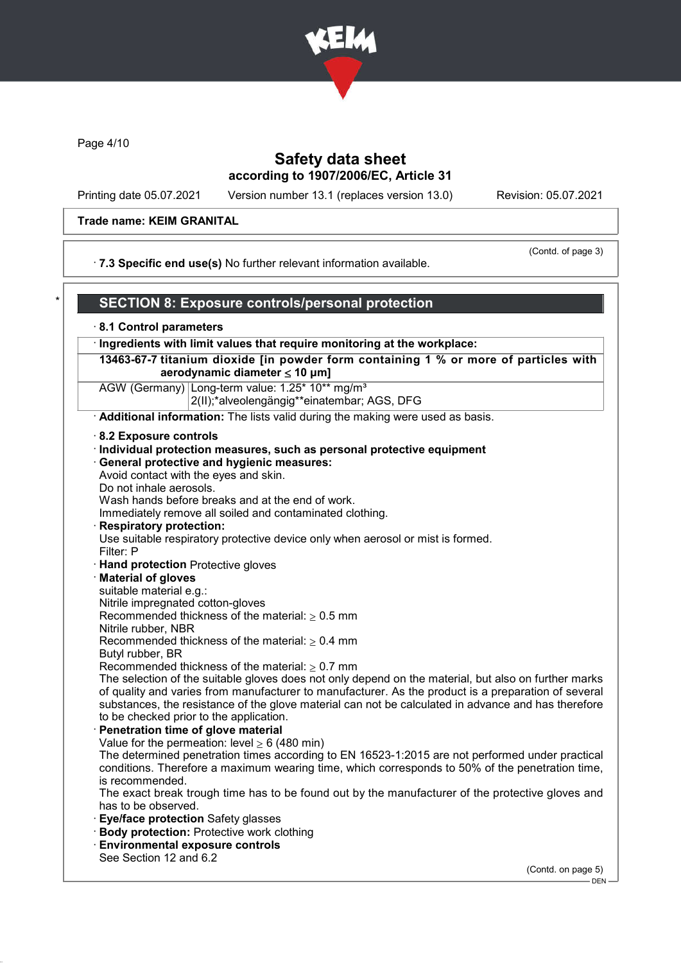

Page 4/10

### Safety data sheet according to 1907/2006/EC, Article 31

Printing date 05.07.2021 Version number 13.1 (replaces version 13.0) Revision: 05.07.2021

### Trade name: KEIM GRANITAL

(Contd. of page 3)

· 7.3 Specific end use(s) No further relevant information available.

## SECTION 8: Exposure controls/personal protection

### · 8.1 Control parameters

· Ingredients with limit values that require monitoring at the workplace:

13463-67-7 titanium dioxide [in powder form containing 1 % or more of particles with aerodynamic diameter  $\leq 10 \mu m$ ]

AGW (Germany) Long-term value: 1.25\* 10\*\* mg/m<sup>3</sup> 2(II);\*alveolengängig\*\*einatembar; AGS, DFG

· Additional information: The lists valid during the making were used as basis.

- · 8.2 Exposure controls
- · Individual protection measures, such as personal protective equipment · General protective and hygienic measures: Avoid contact with the eyes and skin.
- Do not inhale aerosols.

Wash hands before breaks and at the end of work.

Immediately remove all soiled and contaminated clothing.

**Respiratory protection:** 

Use suitable respiratory protective device only when aerosol or mist is formed.

- Filter: P
- · Hand protection Protective gloves
- **Material of gloves**

suitable material e.g.:

Nitrile impregnated cotton-gloves

Recommended thickness of the material:  $> 0.5$  mm

Nitrile rubber, NBR

Recommended thickness of the material:  $\geq 0.4$  mm

Butyl rubber, BR

Recommended thickness of the material:  $\geq 0.7$  mm

The selection of the suitable gloves does not only depend on the material, but also on further marks of quality and varies from manufacturer to manufacturer. As the product is a preparation of several substances, the resistance of the glove material can not be calculated in advance and has therefore to be checked prior to the application.

Penetration time of glove material

Value for the permeation: level  $\geq 6$  (480 min)

The determined penetration times according to EN 16523-1:2015 are not performed under practical conditions. Therefore a maximum wearing time, which corresponds to 50% of the penetration time, is recommended.

The exact break trough time has to be found out by the manufacturer of the protective gloves and has to be observed.

- **Eye/face protection Safety glasses**
- · Body protection: Protective work clothing
- · Environmental exposure controls See Section 12 and 6.2

(Contd. on page 5)

 $-$  DEN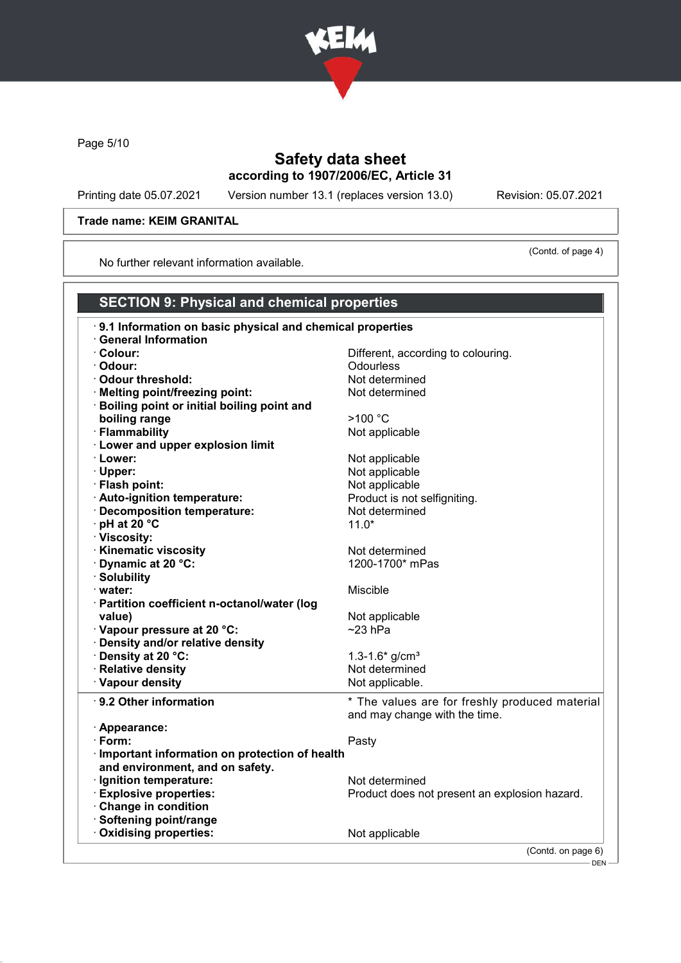

Page 5/10

## Safety data sheet according to 1907/2006/EC, Article 31

Printing date 05.07.2021 Version number 13.1 (replaces version 13.0) Revision: 05.07.2021

(Contd. of page 4)

### Trade name: KEIM GRANITAL

No further relevant information available.

## SECTION 9: Physical and chemical properties

| 9.1 Information on basic physical and chemical properties |                                                |
|-----------------------------------------------------------|------------------------------------------------|
| <b>General Information</b>                                |                                                |
| · Colour:                                                 | Different, according to colouring.             |
| · Odour:                                                  | <b>Odourless</b>                               |
| Odour threshold:                                          | Not determined                                 |
| · Melting point/freezing point:                           | Not determined                                 |
| · Boiling point or initial boiling point and              |                                                |
| boiling range                                             | >100 °C                                        |
| · Flammability                                            | Not applicable                                 |
| · Lower and upper explosion limit                         |                                                |
| · Lower:                                                  | Not applicable                                 |
| · Upper:                                                  | Not applicable                                 |
| · Flash point:                                            | Not applicable                                 |
| · Auto-ignition temperature:                              | Product is not selfigniting.                   |
| · Decomposition temperature:                              | Not determined                                 |
| $\cdot$ pH at 20 $\degree$ C                              | $11.0*$                                        |
| · Viscosity:                                              |                                                |
| · Kinematic viscosity                                     | Not determined                                 |
| Dynamic at 20 °C:                                         | 1200-1700* mPas                                |
| · Solubility                                              |                                                |
| $\cdot$ water:                                            | Miscible                                       |
| · Partition coefficient n-octanol/water (log              |                                                |
| value)                                                    | Not applicable                                 |
| Vapour pressure at 20 °C:                                 | $~23$ hPa                                      |
| · Density and/or relative density                         |                                                |
| · Density at 20 °C:                                       | 1.3-1.6* $g/cm3$                               |
| · Relative density                                        | Not determined                                 |
| · Vapour density                                          | Not applicable.                                |
| $\cdot$ 9.2 Other information                             | * The values are for freshly produced material |
|                                                           | and may change with the time.                  |
| · Appearance:                                             |                                                |
| $\cdot$ Form:                                             | Pasty                                          |
| · Important information on protection of health           |                                                |
| and environment, and on safety.                           |                                                |
| · Ignition temperature:                                   | Not determined                                 |
| <b>Explosive properties:</b>                              | Product does not present an explosion hazard.  |
| Change in condition                                       |                                                |
| · Softening point/range                                   |                                                |
| Oxidising properties:                                     | Not applicable                                 |
|                                                           | (Contd. on page 6)                             |

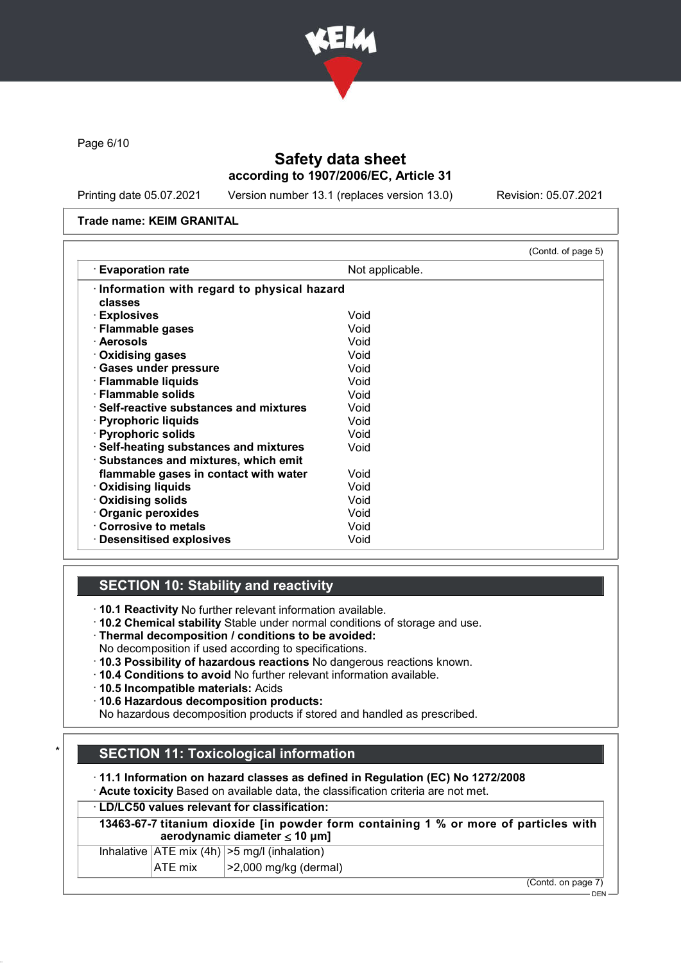

Page 6/10

## Safety data sheet according to 1907/2006/EC, Article 31

Printing date 05.07.2021 Version number 13.1 (replaces version 13.0) Revision: 05.07.2021

### Trade name: KEIM GRANITAL

| $\cdot$ Evaporation rate                       | Not applicable. |  |
|------------------------------------------------|-----------------|--|
| Information with regard to physical hazard     |                 |  |
| classes                                        |                 |  |
| · Explosives                                   | Void            |  |
| · Flammable gases                              | Void            |  |
| · Aerosols                                     | Void            |  |
| $\cdot$ Oxidising gases                        | Void            |  |
| · Gases under pressure                         | Void            |  |
| · Flammable liquids                            | Void            |  |
| · Flammable solids                             | Void            |  |
| $\cdot$ Self-reactive substances and mixtures. | Void            |  |
| · Pyrophoric liquids                           | Void            |  |
| · Pyrophoric solids                            | Void            |  |
| · Self-heating substances and mixtures         | Void            |  |
| · Substances and mixtures, which emit          |                 |  |
| flammable gases in contact with water          | Void            |  |
| <b>Oxidising liquids</b>                       | Void            |  |
| Oxidising solids                               | Void            |  |
| Organic peroxides                              | Void            |  |
| Corrosive to metals                            | Void            |  |
| $\cdot$ Desensitised explosives                | Void            |  |

### SECTION 10: Stability and reactivity

· 10.1 Reactivity No further relevant information available.

- · 10.2 Chemical stability Stable under normal conditions of storage and use.
- · Thermal decomposition / conditions to be avoided:
- No decomposition if used according to specifications.
- · 10.3 Possibility of hazardous reactions No dangerous reactions known.
- · 10.4 Conditions to avoid No further relevant information available.
- · 10.5 Incompatible materials: Acids
- · 10.6 Hazardous decomposition products:

No hazardous decomposition products if stored and handled as prescribed.

## **SECTION 11: Toxicological information**

· 11.1 Information on hazard classes as defined in Regulation (EC) No 1272/2008

· Acute toxicity Based on available data, the classification criteria are not met.

### · LD/LC50 values relevant for classification:

13463-67-7 titanium dioxide [in powder form containing 1 % or more of particles with aerodynamic diameter ≤ 10 μm]

| $\mathbf{A}$ $\mathbf{F}$ $\mathbf{F}$ $\mathbf{F}$ $\mathbf{F}$ $\mathbf{F}$ | $\sqrt{2}$ 0.000 $\frac{1}{2}$ $\frac{1}{2}$ $\frac{1}{2}$ $\frac{1}{2}$ $\frac{1}{2}$ $\frac{1}{2}$ $\frac{1}{2}$ $\frac{1}{2}$ $\frac{1}{2}$ $\frac{1}{2}$ $\frac{1}{2}$ $\frac{1}{2}$ $\frac{1}{2}$ $\frac{1}{2}$ $\frac{1}{2}$ $\frac{1}{2}$ $\frac{1}{2}$ $\frac{1}{2}$ $\frac{1}{2}$ $\frac{1}{2}$ $\frac{1}{2$ |
|-------------------------------------------------------------------------------|-----------------------------------------------------------------------------------------------------------------------------------------------------------------------------------------------------------------------------------------------------------------------------------------------------------------------|
| Inhalative $ ATE \text{ mix } (4h)   > 5 \text{ mg/l } (inhalation)$          |                                                                                                                                                                                                                                                                                                                       |

 $|ATE \text{ mix}$   $| > 2,000 \text{ mg/kg}$  (dermal)

(Contd. on page 7)

 $-$  DEN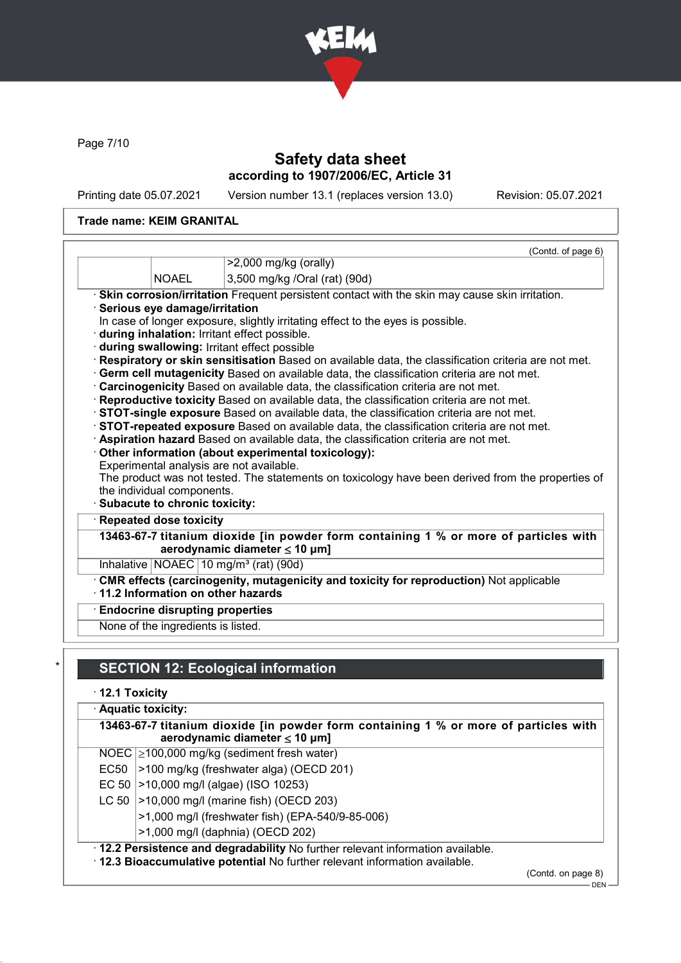

Page 7/10

## Safety data sheet according to 1907/2006/EC, Article 31

Printing date 05.07.2021 Version number 13.1 (replaces version 13.0) Revision: 05.07.2021

### Trade name: KEIM GRANITAL

|                                                               | (Contd. of page 6)                                                                                                                                                                        |
|---------------------------------------------------------------|-------------------------------------------------------------------------------------------------------------------------------------------------------------------------------------------|
|                                                               | $>2,000$ mg/kg (orally)                                                                                                                                                                   |
| <b>NOAEL</b>                                                  | 3,500 mg/kg /Oral (rat) (90d)                                                                                                                                                             |
|                                                               | · Skin corrosion/irritation Frequent persistent contact with the skin may cause skin irritation.                                                                                          |
| Serious eye damage/irritation                                 |                                                                                                                                                                                           |
|                                                               | In case of longer exposure, slightly irritating effect to the eyes is possible.                                                                                                           |
|                                                               | during inhalation: Irritant effect possible.                                                                                                                                              |
|                                                               | during swallowing: Irritant effect possible                                                                                                                                               |
|                                                               | Respiratory or skin sensitisation Based on available data, the classification criteria are not met.                                                                                       |
|                                                               | · Germ cell mutagenicity Based on available data, the classification criteria are not met.                                                                                                |
|                                                               | Carcinogenicity Based on available data, the classification criteria are not met.                                                                                                         |
|                                                               |                                                                                                                                                                                           |
|                                                               | Reproductive toxicity Based on available data, the classification criteria are not met.                                                                                                   |
|                                                               | STOT-single exposure Based on available data, the classification criteria are not met.                                                                                                    |
|                                                               | STOT-repeated exposure Based on available data, the classification criteria are not met.                                                                                                  |
|                                                               | · Aspiration hazard Based on available data, the classification criteria are not met.                                                                                                     |
|                                                               | Other information (about experimental toxicology):                                                                                                                                        |
|                                                               | Experimental analysis are not available.                                                                                                                                                  |
|                                                               |                                                                                                                                                                                           |
| the individual components.<br>· Subacute to chronic toxicity: |                                                                                                                                                                                           |
| <b>Repeated dose toxicity</b>                                 |                                                                                                                                                                                           |
|                                                               | aerodynamic diameter $\leq 10$ µm]                                                                                                                                                        |
|                                                               | Inhalative $NOAEC$ 10 mg/m <sup>3</sup> (rat) (90d)                                                                                                                                       |
|                                                               | CMR effects (carcinogenity, mutagenicity and toxicity for reproduction) Not applicable                                                                                                    |
|                                                               | $\cdot$ 11.2 Information on other hazards                                                                                                                                                 |
| <b>Endocrine disrupting properties</b>                        | The product was not tested. The statements on toxicology have been derived from the properties of<br>13463-67-7 titanium dioxide [in powder form containing 1 % or more of particles with |

## **SECTION 12: Ecological information**

· 12.1 Toxicity

| · Aquatic toxicity:                                                                                                            |                                                  |  |
|--------------------------------------------------------------------------------------------------------------------------------|--------------------------------------------------|--|
| 13463-67-7 titanium dioxide [in powder form containing 1 % or more of particles with<br>aerodynamic diameter $\leq 10 \mu m$ ] |                                                  |  |
|                                                                                                                                | NOEC $\geq$ 100,000 mg/kg (sediment fresh water) |  |
| EC50                                                                                                                           | >100 mg/kg (freshwater alga) (OECD 201)          |  |
|                                                                                                                                | EC 50   > 10,000 mg/l (algae) (ISO 10253)        |  |
|                                                                                                                                | LC 50   > 10,000 mg/l (marine fish) (OECD 203)   |  |
|                                                                                                                                | >1,000 mg/l (freshwater fish) (EPA-540/9-85-006) |  |
| >1,000 mg/l (daphnia) (OECD 202)                                                                                               |                                                  |  |
| . 12.2 Persistence and degradability No further relevant information available.                                                |                                                  |  |
| . 12.3 Bioaccumulative potential No further relevant information available.                                                    |                                                  |  |

(Contd. on page 8)

 $-$  DEN -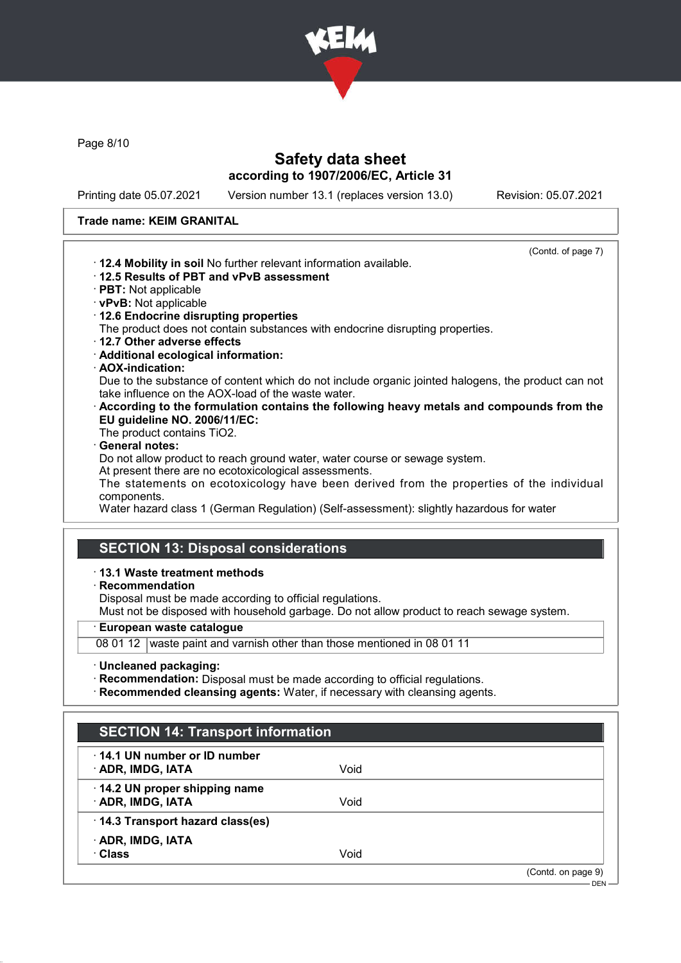

Page 8/10

## Safety data sheet according to 1907/2006/EC, Article 31

Printing date 05.07.2021 Version number 13.1 (replaces version 13.0) Revision: 05.07.2021

### Trade name: KEIM GRANITAL

|                                                                                                                                                          | (Contd. of page 7) |
|----------------------------------------------------------------------------------------------------------------------------------------------------------|--------------------|
| $\cdot$ 12.4 Mobility in soil No further relevant information available.                                                                                 |                    |
| 12.5 Results of PBT and vPvB assessment                                                                                                                  |                    |
| $\cdot$ PBT: Not applicable                                                                                                                              |                    |
| · vPvB: Not applicable                                                                                                                                   |                    |
| 12.6 Endocrine disrupting properties                                                                                                                     |                    |
| The product does not contain substances with endocrine disrupting properties.                                                                            |                    |
| 12.7 Other adverse effects                                                                                                                               |                    |
| · Additional ecological information:                                                                                                                     |                    |
| · AOX-indication:                                                                                                                                        |                    |
| Due to the substance of content which do not include organic jointed halogens, the product can not<br>take influence on the AOX-load of the waste water. |                    |
| $\cdot$ According to the formulation contains the following heavy metals and compounds from the                                                          |                    |
| EU guideline NO. 2006/11/EC:                                                                                                                             |                    |
| The product contains TiO2.                                                                                                                               |                    |
| · General notes:                                                                                                                                         |                    |
| Do not allow product to reach ground water, water course or sewage system.                                                                               |                    |
| At present there are no ecotoxicological assessments.                                                                                                    |                    |
| The statements on ecotoxicology have been derived from the properties of the individual<br>components.                                                   |                    |
| Water hazard class 1 (German Regulation) (Self-assessment): slightly hazardous for water                                                                 |                    |

# SECTION 13: Disposal considerations

### · 13.1 Waste treatment methods

· Recommendation

Disposal must be made according to official regulations.

Must not be disposed with household garbage. Do not allow product to reach sewage system.

· European waste catalogue

08 01 12 waste paint and varnish other than those mentioned in 08 01 11

- · Uncleaned packaging:
- · Recommendation: Disposal must be made according to official regulations.
- · Recommended cleansing agents: Water, if necessary with cleansing agents.

| <b>SECTION 14: Transport information</b>                 |      |                    |
|----------------------------------------------------------|------|--------------------|
| $\cdot$ 14.1 UN number or ID number<br>· ADR, IMDG, IATA | Void |                    |
| 14.2 UN proper shipping name<br>· ADR, IMDG, IATA        | Void |                    |
| 14.3 Transport hazard class(es)                          |      |                    |
| · ADR, IMDG, IATA<br>· Class                             | Void |                    |
|                                                          |      | (Contd. on page 9) |
|                                                          |      | DEN $-$            |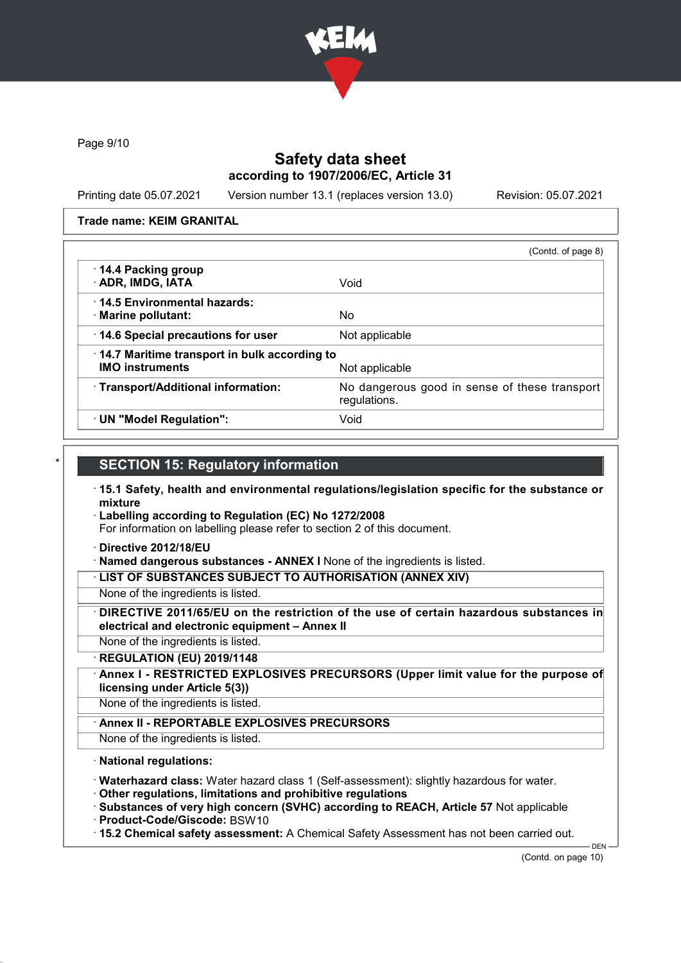

Page 9/10

### Safety data sheet according to 1907/2006/EC, Article 31

Printing date 05.07.2021 Version number 13.1 (replaces version 13.0) Revision: 05.07.2021

### Trade name: KEIM GRANITAL

|                                                                        | (Contd. of page 8)                                            |
|------------------------------------------------------------------------|---------------------------------------------------------------|
| 14.4 Packing group<br>· ADR, IMDG, IATA                                | Void                                                          |
| 14.5 Environmental hazards:<br>· Marine pollutant:                     | No.                                                           |
| 14.6 Special precautions for user                                      | Not applicable                                                |
| 14.7 Maritime transport in bulk according to<br><b>IMO instruments</b> | Not applicable                                                |
| · Transport/Additional information:                                    | No dangerous good in sense of these transport<br>regulations. |
| · UN "Model Regulation":                                               | Void                                                          |

### **SECTION 15: Regulatory information**

- · 15.1 Safety, health and environmental regulations/legislation specific for the substance or mixture
- · Labelling according to Regulation (EC) No 1272/2008

For information on labelling please refer to section 2 of this document.

- · Directive 2012/18/EU
- · Named dangerous substances ANNEX I None of the ingredients is listed.

· LIST OF SUBSTANCES SUBJECT TO AUTHORISATION (ANNEX XIV)

- None of the ingredients is listed.
- DIRECTIVE 2011/65/EU on the restriction of the use of certain hazardous substances in electrical and electronic equipment – Annex II
- None of the ingredients is listed.
- · REGULATION (EU) 2019/1148
- Annex I RESTRICTED EXPLOSIVES PRECURSORS (Upper limit value for the purpose of licensing under Article 5(3))
- None of the ingredients is listed.
	- Annex II REPORTABLE EXPLOSIVES PRECURSORS
- None of the ingredients is listed.

### · National regulations:

- · Waterhazard class: Water hazard class 1 (Self-assessment): slightly hazardous for water.
- · Other regulations, limitations and prohibitive regulations
- · Substances of very high concern (SVHC) according to REACH, Article 57 Not applicable
- · Product-Code/Giscode: BSW10
- · 15.2 Chemical safety assessment: A Chemical Safety Assessment has not been carried out.

DEN